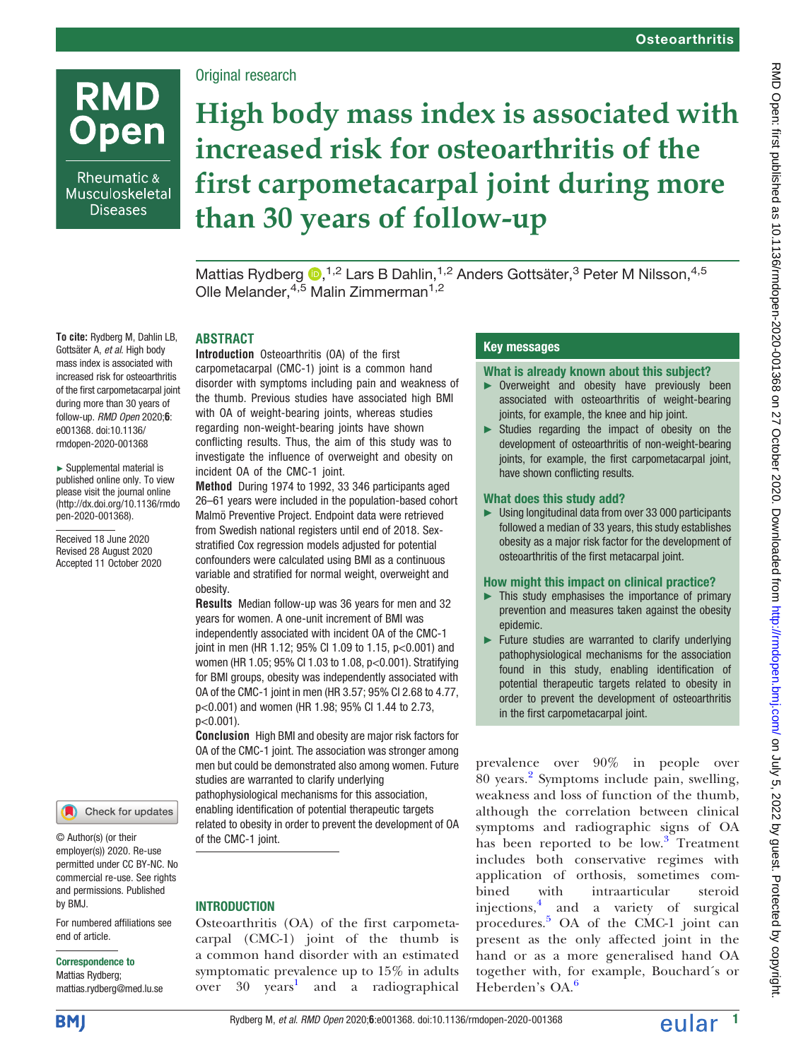

Rheumatic & Musculoskeletal **Diseases** 

To cite: Rydberg M, Dahlin LB, Gottsäter A, et al. High body mass index is associated with increased risk for osteoarthritis of the first carpometacarpal joint during more than 30 years of follow-up. RMD Open 2020;6: e001368. doi:10.1136/ rmdopen-2020-001368 ► Supplemental material is published online only. To view please visit the journal online ([http://dx.doi.org/10.1136/rmdo](http://dx.doi.org/10.1136/rmdopen-2020-001368) [pen-2020-001368](http://dx.doi.org/10.1136/rmdopen-2020-001368)). Received 18 June 2020 Revised 28 August 2020 Accepted 11 October 2020

## Original research

# High body mass index is associated with increased risk for osteoarthritis of the first carpometacarpal joint during more than 30 years of follow-up

Mattias Rydberg  $\bullet$ [,](http://orcid.org/0000-0002-8249-8660)<sup>1,2</sup> Lars B Dahlin,<sup>1,2</sup> Anders Gottsäter,<sup>3</sup> Peter M Nilsson,<sup>4,5</sup> Olle Melander,<sup>4,5</sup> Malin Zimmerman<sup>1,2</sup>

## ABSTRACT

Introduction Osteoarthritis (OA) of the first carpometacarpal (CMC-1) joint is a common hand disorder with symptoms including pain and weakness of the thumb. Previous studies have associated high BMI with OA of weight-bearing joints, whereas studies regarding non-weight-bearing joints have shown conflicting results. Thus, the aim of this study was to investigate the influence of overweight and obesity on incident OA of the CMC-1 joint.

Method During 1974 to 1992, 33 346 participants aged 26–61 years were included in the population-based cohort Malmö Preventive Project. Endpoint data were retrieved from Swedish national registers until end of 2018. Sexstratified Cox regression models adjusted for potential confounders were calculated using BMI as a continuous variable and stratified for normal weight, overweight and obesity.

Results Median follow-up was 36 years for men and 32 years for women. A one-unit increment of BMI was independently associated with incident OA of the CMC-1 joint in men (HR 1.12; 95% CI 1.09 to 1.15, p<0.001) and women (HR 1.05; 95% CI 1.03 to 1.08, p<0.001). Stratifying for BMI groups, obesity was independently associated with OA of the CMC-1 joint in men (HR 3.57; 95% CI 2.68 to 4.77, p<0.001) and women (HR 1.98; 95% CI 1.44 to 2.73, p<0.001).

Conclusion High BMI and obesity are major risk factors for OA of the CMC-1 joint. The association was stronger among men but could be demonstrated also among women. Future studies are warranted to clarify underlying pathophysiological mechanisms for this association, enabling identification of potential therapeutic targets related to obesity in order to prevent the development of OA

of the CMC-1 joint.

## **INTRODUCTION**

Osteoarthritis (OA) of the first carpometacarpal (CMC-1) joint of the thumb is a common hand disorder with an estimated symptomatic prevalence up to  $15\%$  in adults<br>over  $30$  vears<sup>1</sup> and a radiographical and a radiographical

## Key messages

What is already known about this subject?

- ► Overweight and obesity have previously been associated with osteoarthritis of weight-bearing joints, for example, the knee and hip joint.
- ► Studies regarding the impact of obesity on the development of osteoarthritis of non-weight-bearing joints, for example, the first carpometacarpal joint, have shown conflicting results.

#### What does this study add?

► Using longitudinal data from over 33 000 participants followed a median of 33 years, this study establishes obesity as a major risk factor for the development of osteoarthritis of the first metacarpal joint.

#### How might this impact on clinical practice?

- $\blacktriangleright$  This study emphasises the importance of primary prevention and measures taken against the obesity epidemic.
- ► Future studies are warranted to clarify underlying pathophysiological mechanisms for the association found in this study, enabling identification of potential therapeutic targets related to obesity in order to prevent the development of osteoarthritis in the first carpometacarpal joint.

prevalence over 90% in people over 80 years.[2](#page-6-1) Symptoms include pain, swelling, weakness and loss of function of the thumb, although the correlation between clinical symptoms and radiographic signs of OA has been reported to be low.<sup>[3](#page-6-2)</sup> Treatment includes both conservative regimes with application of orthosis, sometimes combined with intraarticular steroid injections, $\frac{4}{1}$  $\frac{4}{1}$  $\frac{4}{1}$  and a variety of surgical procedures.[5](#page-6-4) OA of the CMC-1 joint can present as the only affected joint in the hand or as a more generalised hand OA together with, for example, Bouchard´s or Heberden's OA.<sup>[6](#page-6-5)</sup>

**BMJ** 

by BMJ.

end of article.

Correspondence to Mattias Rydberg; [mattias.rydberg@med.lu.se](mailto:mattias.rydberg@med.lu.se)

© Author(s) (or their employer(s)) 2020. Re-use permitted under CC BY-NC. No commercial re-use. See rights and permissions. Published

For numbered affiliations see

Check for updates

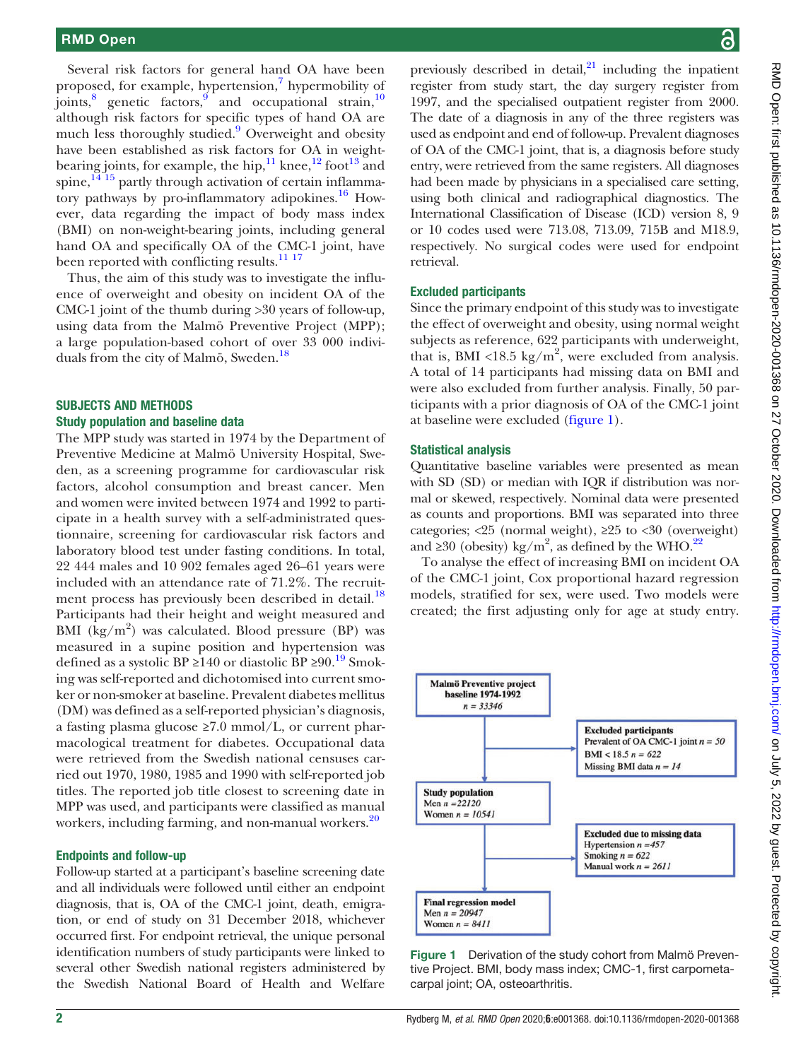Several risk factors for general hand OA have been proposed, for example, hypertension, $\frac{7}{1}$  $\frac{7}{1}$  $\frac{7}{1}$  hypermobility of joints, $\frac{8}{3}$  $\frac{8}{3}$  $\frac{8}{3}$  genetic factors, $\frac{9}{3}$  and occupational strain,  $\frac{10}{3}$  $\frac{10}{3}$  $\frac{10}{3}$ although risk factors for specific types of hand OA are much less thoroughly studied.<sup>9</sup> Overweight and obesity have been established as risk factors for OA in weight-bearing joints, for example, the hip,<sup>[11](#page-6-10)</sup> knee,<sup>[12](#page-6-11)</sup> foot<sup>[13](#page-6-12)</sup> and spine, $14^{15}$  partly through activation of certain inflammatory pathways by pro-inflammatory adipokines.[16](#page-6-14) However, data regarding the impact of body mass index (BMI) on non-weight-bearing joints, including general hand OA and specifically OA of the CMC-1 joint, have been reported with conflicting results.<sup>11 17</sup>

Thus, the aim of this study was to investigate the influence of overweight and obesity on incident OA of the CMC-1 joint of the thumb during >30 years of follow-up, using data from the Malmö Preventive Project (MPP); a large population-based cohort of over 33 000 indivi-duals from the city of Malmö, Sweden.<sup>[18](#page-6-15)</sup>

#### SUBJECTS AND METHODS Study population and baseline data

The MPP study was started in 1974 by the Department of Preventive Medicine at Malmö University Hospital, Sweden, as a screening programme for cardiovascular risk factors, alcohol consumption and breast cancer. Men and women were invited between 1974 and 1992 to participate in a health survey with a self-administrated questionnaire, screening for cardiovascular risk factors and laboratory blood test under fasting conditions. In total, 22 444 males and 10 902 females aged 26–61 years were included with an attendance rate of 71.2%. The recruit-ment process has previously been described in detail.<sup>[18](#page-6-15)</sup> Participants had their height and weight measured and BMI (kg/m<sup>2</sup>) was calculated. Blood pressure (BP) was measured in a supine position and hypertension was defined as a systolic BP ≥140 or diastolic BP ≥90.<sup>[19](#page-6-16)</sup> Smoking was self-reported and dichotomised into current smoker or non-smoker at baseline. Prevalent diabetes mellitus (DM) was defined as a self-reported physician's diagnosis, a fasting plasma glucose  $\geq 7.0$  mmol/L, or current pharmacological treatment for diabetes. Occupational data were retrieved from the Swedish national censuses carried out 1970, 1980, 1985 and 1990 with self-reported job titles. The reported job title closest to screening date in MPP was used, and participants were classified as manual workers, including farming, and non-manual workers.<sup>20</sup>

#### Endpoints and follow-up

Follow-up started at a participant's baseline screening date and all individuals were followed until either an endpoint diagnosis, that is, OA of the CMC-1 joint, death, emigration, or end of study on 31 December 2018, whichever occurred first. For endpoint retrieval, the unique personal identification numbers of study participants were linked to several other Swedish national registers administered by the Swedish National Board of Health and Welfare

previously described in detail, $^{21}$  $^{21}$  $^{21}$  including the inpatient register from study start, the day surgery register from 1997, and the specialised outpatient register from 2000. The date of a diagnosis in any of the three registers was used as endpoint and end of follow-up. Prevalent diagnoses of OA of the CMC-1 joint, that is, a diagnosis before study entry, were retrieved from the same registers. All diagnoses had been made by physicians in a specialised care setting, using both clinical and radiographical diagnostics. The International Classification of Disease (ICD) version 8, 9 or 10 codes used were 713.08, 713.09, 715B and M18.9, respectively. No surgical codes were used for endpoint retrieval.

#### Excluded participants

Since the primary endpoint of this study was to investigate the effect of overweight and obesity, using normal weight subjects as reference, 622 participants with underweight, that is, BMI <18.5 kg/m<sup>2</sup>, were excluded from analysis. A total of 14 participants had missing data on BMI and were also excluded from further analysis. Finally, 50 participants with a prior diagnosis of OA of the CMC-1 joint at baseline were excluded ([figure 1\)](#page-1-0).

#### Statistical analysis

Quantitative baseline variables were presented as mean with SD (SD) or median with IQR if distribution was normal or skewed, respectively. Nominal data were presented as counts and proportions. BMI was separated into three categories; <25 (normal weight), ≥25 to <30 (overweight) and ≥30 (obesity) kg/m<sup>2</sup>, as defined by the WHO.<sup>[22](#page-6-19)</sup>

To analyse the effect of increasing BMI on incident OA of the CMC-1 joint, Cox proportional hazard regression models, stratified for sex, were used. Two models were created; the first adjusting only for age at study entry.

<span id="page-1-0"></span>

Figure 1 Derivation of the study cohort from Malmö Preventive Project. BMI, body mass index; CMC-1, first carpometacarpal joint; OA, osteoarthritis.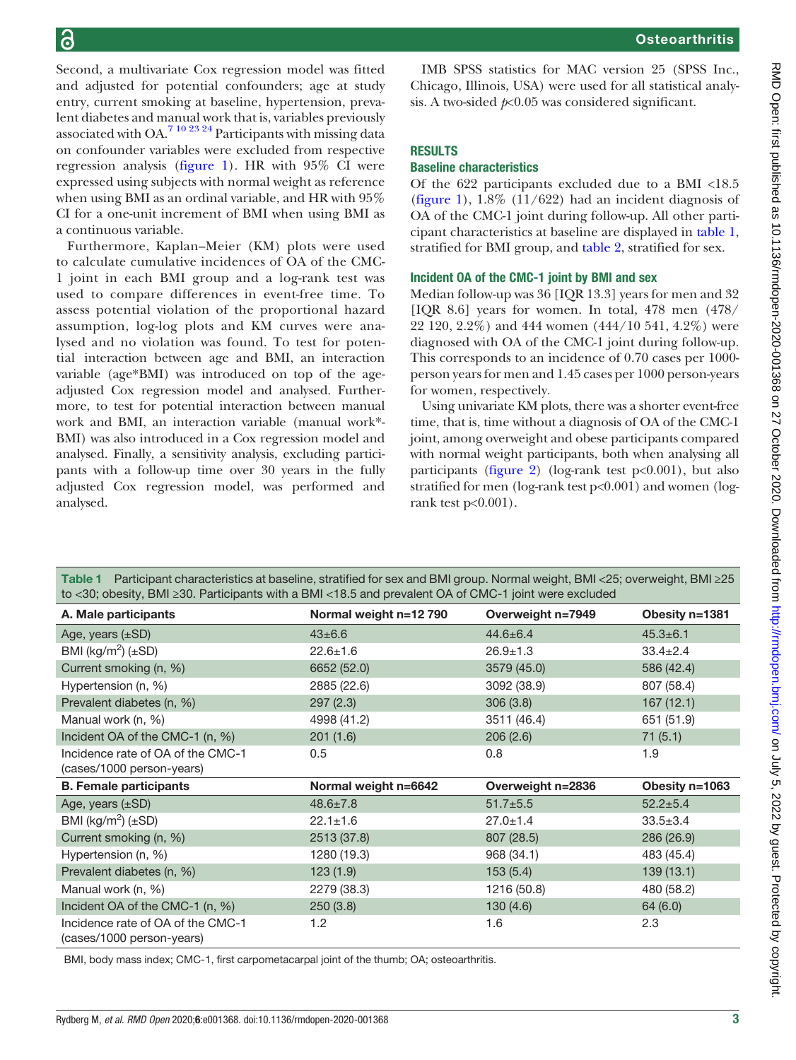Second, a multivariate Cox regression model was fitted and adjusted for potential confounders; age at study entry, current smoking at baseline, hypertension, prevalent diabetes and manual work that is, variables previously associated with OA.[7 10 23 24](#page-6-6) Participants with missing data on confounder variables were excluded from respective regression analysis [\(figure 1](#page-1-0)). HR with 95% CI were expressed using subjects with normal weight as reference when using BMI as an ordinal variable, and HR with 95% CI for a one-unit increment of BMI when using BMI as a continuous variable.

Furthermore, Kaplan–Meier (KM) plots were used to calculate cumulative incidences of OA of the CMC-1 joint in each BMI group and a log-rank test was used to compare differences in event-free time. To assess potential violation of the proportional hazard assumption, log-log plots and KM curves were analysed and no violation was found. To test for potential interaction between age and BMI, an interaction variable (age\*BMI) was introduced on top of the ageadjusted Cox regression model and analysed. Furthermore, to test for potential interaction between manual work and BMI, an interaction variable (manual work\*- BMI) was also introduced in a Cox regression model and analysed. Finally, a sensitivity analysis, excluding participants with a follow-up time over 30 years in the fully adjusted Cox regression model, was performed and analysed.

IMB SPSS statistics for MAC version 25 (SPSS Inc., Chicago, Illinois, USA) were used for all statistical analysis. A two-sided  $p<0.05$  was considered significant.

## **RESULTS**

#### Baseline characteristics

Of the 622 participants excluded due to a BMI <18.5 ([figure 1](#page-1-0)),  $1.8\%$  ( $11/622$ ) had an incident diagnosis of OA of the CMC-1 joint during follow-up. All other participant characteristics at baseline are displayed in [table 1,](#page-2-0) stratified for BMI group, and [table 2,](#page-3-0) stratified for sex.

## Incident OA of the CMC-1 joint by BMI and sex

Median follow-up was 36 [IQR 13.3] years for men and 32 [IQR 8.6] years for women. In total, 478 men (478/ 22 120, 2.2%) and 444 women (444/10 541, 4.2%) were diagnosed with OA of the CMC-1 joint during follow-up. This corresponds to an incidence of 0.70 cases per 1000 person years for men and 1.45 cases per 1000 person-years for women, respectively.

Using univariate KM plots, there was a shorter event-free time, that is, time without a diagnosis of OA of the CMC-1 joint, among overweight and obese participants compared with normal weight participants, both when analysing all participants [\(figure 2](#page-3-1)) (log-rank test  $p<0.001$ ), but also stratified for men (log-rank test p<0.001) and women (logrank test  $p<0.001$ ).

<span id="page-2-0"></span>

| Table 1 Participant characteristics at baseline, stratified for sex and BMI group. Normal weight, BMI <25; overweight, BMI ≥25<br>to <30; obesity, BMI ≥30. Participants with a BMI <18.5 and prevalent OA of CMC-1 joint were excluded |                        |                   |                |  |  |  |  |
|-----------------------------------------------------------------------------------------------------------------------------------------------------------------------------------------------------------------------------------------|------------------------|-------------------|----------------|--|--|--|--|
| A. Male participants                                                                                                                                                                                                                    | Normal weight n=12 790 | Overweight n=7949 | Obesity n=1381 |  |  |  |  |
| Age, years $(\pm SD)$                                                                                                                                                                                                                   | $43 \pm 6.6$           | $44.6 \pm 6.4$    | $45.3 \pm 6.1$ |  |  |  |  |
| BMI (kg/m <sup>2</sup> ) ( $\pm$ SD)                                                                                                                                                                                                    | $22.6 \pm 1.6$         | $26.9 + 1.3$      | $33.4 \pm 2.4$ |  |  |  |  |
| Current smoking (n, %)                                                                                                                                                                                                                  | 6652 (52.0)            | 3579 (45.0)       | 586 (42.4)     |  |  |  |  |
| Hypertension (n, %)                                                                                                                                                                                                                     | 2885 (22.6)            | 3092 (38.9)       | 807 (58.4)     |  |  |  |  |
| Prevalent diabetes (n, %)                                                                                                                                                                                                               | 297(2.3)               | 306(3.8)          | 167(12.1)      |  |  |  |  |
| Manual work (n, %)                                                                                                                                                                                                                      | 4998 (41.2)            | 3511 (46.4)       | 651 (51.9)     |  |  |  |  |
| Incident OA of the CMC-1 (n, %)                                                                                                                                                                                                         | 201(1.6)               | 206(2.6)          | 71(5.1)        |  |  |  |  |
| Incidence rate of OA of the CMC-1<br>(cases/1000 person-years)                                                                                                                                                                          | 0.5                    | 0.8               | 1.9            |  |  |  |  |
| <b>B. Female participants</b>                                                                                                                                                                                                           | Normal weight n=6642   | Overweight n=2836 | Obesity n=1063 |  |  |  |  |
| Age, years $(\pm SD)$                                                                                                                                                                                                                   | $48.6 \pm 7.8$         | $51.7 + 5.5$      | $52.2 \pm 5.4$ |  |  |  |  |
| BMI (kg/m <sup>2</sup> ) ( $\pm$ SD)                                                                                                                                                                                                    | $22.1 \pm 1.6$         | $27.0 \pm 1.4$    | $33.5 \pm 3.4$ |  |  |  |  |
| Current smoking (n, %)                                                                                                                                                                                                                  | 2513 (37.8)            | 807 (28.5)        | 286 (26.9)     |  |  |  |  |
| Hypertension (n, %)                                                                                                                                                                                                                     | 1280 (19.3)            | 968 (34.1)        | 483 (45.4)     |  |  |  |  |
| Prevalent diabetes (n, %)                                                                                                                                                                                                               | 123(1.9)               | 153(5.4)          | 139(13.1)      |  |  |  |  |
| Manual work (n, %)                                                                                                                                                                                                                      | 2279 (38.3)            | 1216 (50.8)       | 480 (58.2)     |  |  |  |  |
| Incident OA of the CMC-1 (n, %)                                                                                                                                                                                                         | 250(3.8)               | 130(4.6)          | 64 (6.0)       |  |  |  |  |
| Incidence rate of OA of the CMC-1<br>(cases/1000 person-years)                                                                                                                                                                          | 1.2                    | 1.6               | 2.3            |  |  |  |  |

BMI, body mass index; CMC-1, first carpometacarpal joint of the thumb; OA; osteoarthritis.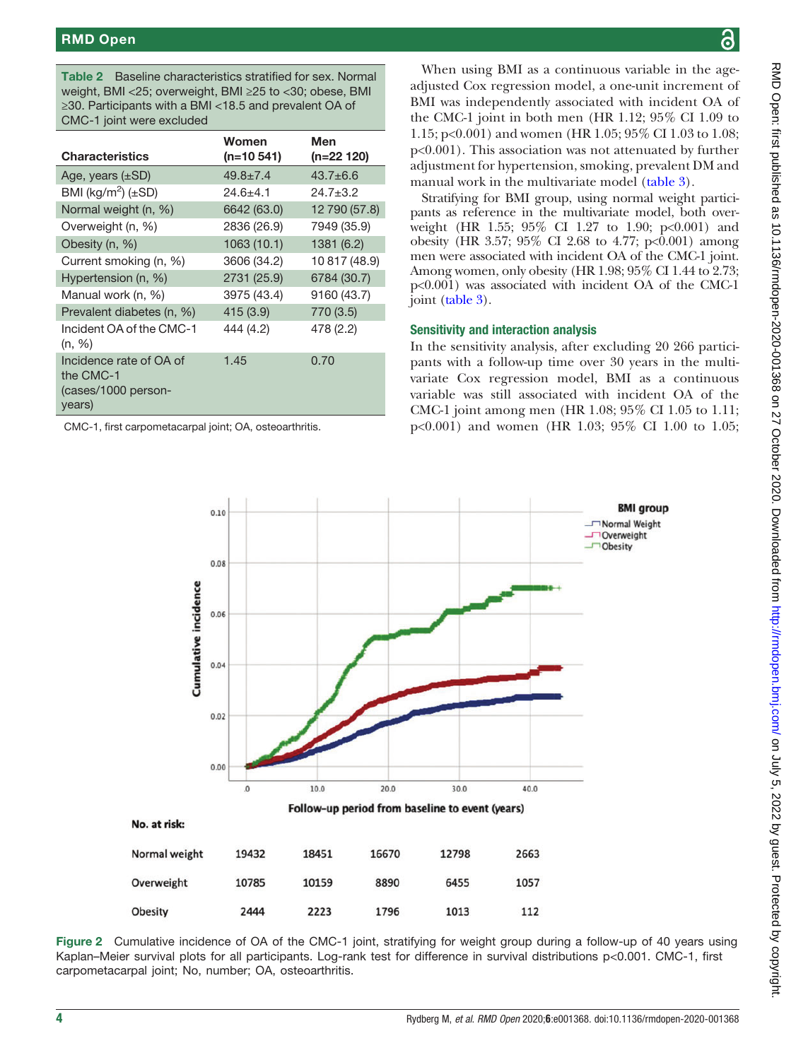<span id="page-3-0"></span>Table 2 Baseline characteristics stratified for sex. Normal weight, BMI <25; overweight, BMI ≥25 to <30; obese, BMI ≥30. Participants with a BMI <18.5 and prevalent OA of CMC-1 joint were excluded

| <b>Characteristics</b>                                                | Women<br>$(n=10 541)$ | Men<br>(n=22 120) |
|-----------------------------------------------------------------------|-----------------------|-------------------|
| Age, years $(\pm SD)$                                                 | $49.8 \pm 7.4$        | $43.7 \pm 6.6$    |
| BMI (kg/m <sup>2</sup> ) ( $\pm$ SD)                                  | $24.6 + 4.1$          | $24.7 + 3.2$      |
| Normal weight (n, %)                                                  | 6642 (63.0)           | 12 790 (57.8)     |
| Overweight (n, %)                                                     | 2836 (26.9)           | 7949 (35.9)       |
| Obesity (n, %)                                                        | 1063 (10.1)           | 1381 (6.2)        |
| Current smoking (n, %)                                                | 3606 (34.2)           | 10 817 (48.9)     |
| Hypertension (n, %)                                                   | 2731 (25.9)           | 6784 (30.7)       |
| Manual work (n, %)                                                    | 3975 (43.4)           | 9160 (43.7)       |
| Prevalent diabetes (n, %)                                             | 415(3.9)              | 770 (3.5)         |
| Incident OA of the CMC-1<br>(n, %)                                    | 444 (4.2)             | 478 (2.2)         |
| Incidence rate of OA of<br>the CMC-1<br>(cases/1000 person-<br>years) | 1.45                  | 0.70              |

<span id="page-3-1"></span>CMC-1, first carpometacarpal joint; OA, osteoarthritis.

When using BMI as a continuous variable in the ageadjusted Cox regression model, a one-unit increment of BMI was independently associated with incident OA of the CMC-1 joint in both men (HR 1.12; 95% CI 1.09 to 1.15; p<0.001) and women (HR 1.05; 95% CI 1.03 to 1.08; p<0.001). This association was not attenuated by further adjustment for hypertension, smoking, prevalent DM and manual work in the multivariate model ([table 3](#page-4-0)).

Stratifying for BMI group, using normal weight participants as reference in the multivariate model, both overweight (HR 1.55; 95% CI 1.27 to 1.90; p<0.001) and obesity (HR 3.57; 95% CI 2.68 to 4.77; p<0.001) among men were associated with incident OA of the CMC-1 joint. Among women, only obesity (HR 1.98; 95% CI 1.44 to 2.73; p<0.001) was associated with incident OA of the CMC-1 joint [\(table 3](#page-4-0)).

## Sensitivity and interaction analysis

In the sensitivity analysis, after excluding 20 266 participants with a follow-up time over 30 years in the multivariate Cox regression model, BMI as a continuous variable was still associated with incident OA of the CMC-1 joint among men (HR 1.08; 95% CI 1.05 to 1.11; p<0.001) and women (HR 1.03; 95% CI 1.00 to 1.05;



Figure 2 Cumulative incidence of OA of the CMC-1 joint, stratifying for weight group during a follow-up of 40 years using Kaplan–Meier survival plots for all participants. Log-rank test for difference in survival distributions p<0.001. CMC-1, first carpometacarpal joint; No, number; OA, osteoarthritis.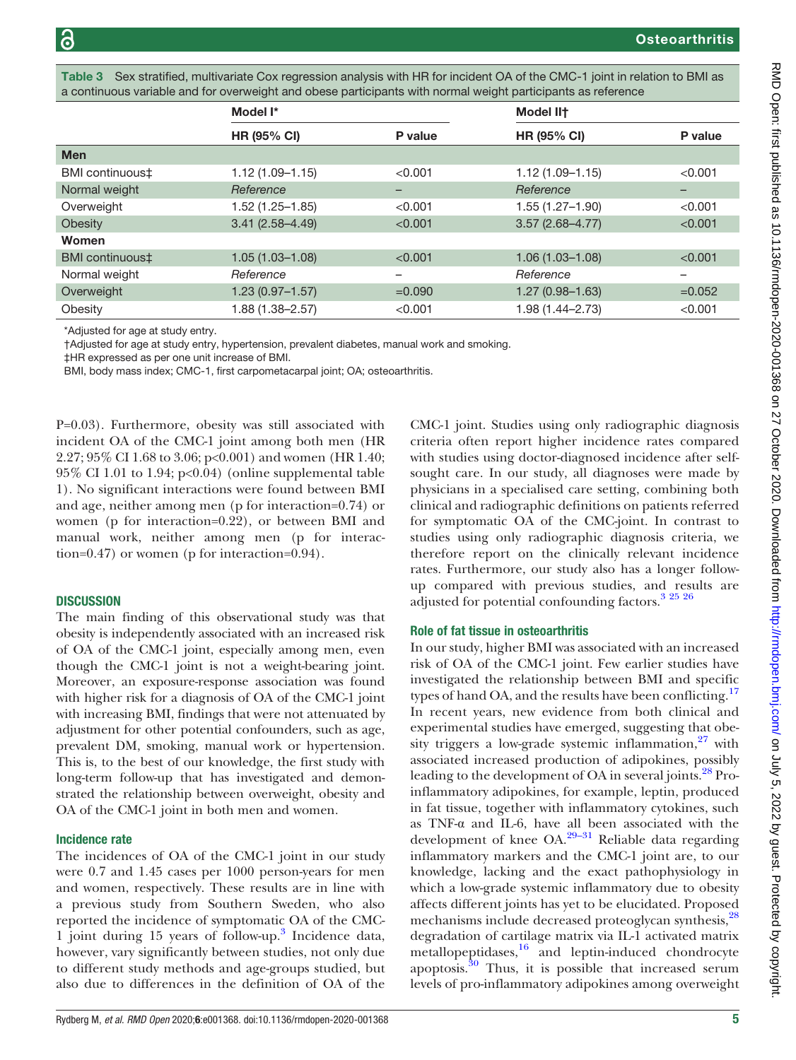<span id="page-4-0"></span>Sex stratified, multivariate Cox regression analysis with HR for incident OA of the CMC-1 joint in relation to BMI as a continuous variable and for overweight and obese participants with normal weight participants as reference

|                 | Model I*            |          | <b>Model IIt</b>    |                          |
|-----------------|---------------------|----------|---------------------|--------------------------|
|                 | <b>HR (95% CI)</b>  | P value  | <b>HR (95% CI)</b>  | P value                  |
| <b>Men</b>      |                     |          |                     |                          |
| BMI continuous‡ | $1.12(1.09 - 1.15)$ | < 0.001  | $1.12(1.09 - 1.15)$ | < 0.001                  |
| Normal weight   | Reference           | -        | Reference           | $\overline{\phantom{0}}$ |
| Overweight      | $1.52(1.25 - 1.85)$ | < 0.001  | $1.55(1.27 - 1.90)$ | < 0.001                  |
| Obesity         | $3.41(2.58 - 4.49)$ | < 0.001  | $3.57(2.68 - 4.77)$ | < 0.001                  |
| Women           |                     |          |                     |                          |
| BMI continuous‡ | $1.05(1.03 - 1.08)$ | < 0.001  | $1.06(1.03 - 1.08)$ | < 0.001                  |
| Normal weight   | Reference           | -        | Reference           | -                        |
| Overweight      | $1.23(0.97 - 1.57)$ | $=0.090$ | $1.27(0.98 - 1.63)$ | $=0.052$                 |
| Obesity         | 1.88 (1.38-2.57)    | < 0.001  | 1.98 (1.44-2.73)    | < 0.001                  |

\*Adjusted for age at study entry.

†Adjusted for age at study entry, hypertension, prevalent diabetes, manual work and smoking.

‡HR expressed as per one unit increase of BMI.

BMI, body mass index; CMC-1, first carpometacarpal joint; OA; osteoarthritis.

P=0.03). Furthermore, obesity was still associated with incident OA of the CMC-1 joint among both men (HR 2.27; 95% CI 1.68 to 3.06; p<0.001) and women (HR 1.40;  $95\%$  CI 1.01 to 1.94; p<0.04) ([online supplemental table](https://dx.doi.org/10.1136/rmdopen-2020-001368) [1](https://dx.doi.org/10.1136/rmdopen-2020-001368)). No significant interactions were found between BMI and age, neither among men (p for interaction=0.74) or women (p for interaction=0.22), or between BMI and manual work, neither among men (p for interaction=0.47) or women (p for interaction=0.94).

#### **DISCUSSION**

The main finding of this observational study was that obesity is independently associated with an increased risk of OA of the CMC-1 joint, especially among men, even though the CMC-1 joint is not a weight-bearing joint. Moreover, an exposure-response association was found with higher risk for a diagnosis of OA of the CMC-1 joint with increasing BMI, findings that were not attenuated by adjustment for other potential confounders, such as age, prevalent DM, smoking, manual work or hypertension. This is, to the best of our knowledge, the first study with long-term follow-up that has investigated and demonstrated the relationship between overweight, obesity and OA of the CMC-1 joint in both men and women.

#### Incidence rate

The incidences of OA of the CMC-1 joint in our study were 0.7 and 1.45 cases per 1000 person-years for men and women, respectively. These results are in line with a previous study from Southern Sweden, who also reported the incidence of symptomatic OA of the CMC-1 joint during 15 years of follow-up.[3](#page-6-2) Incidence data, however, vary significantly between studies, not only due to different study methods and age-groups studied, but also due to differences in the definition of OA of the

CMC-1 joint. Studies using only radiographic diagnosis criteria often report higher incidence rates compared with studies using doctor-diagnosed incidence after selfsought care. In our study, all diagnoses were made by physicians in a specialised care setting, combining both clinical and radiographic definitions on patients referred for symptomatic OA of the CMC-joint. In contrast to studies using only radiographic diagnosis criteria, we therefore report on the clinically relevant incidence rates. Furthermore, our study also has a longer followup compared with previous studies, and results are adjusted for potential confounding factors[.3 25 26](#page-6-2)

#### Role of fat tissue in osteoarthritis

In our study, higher BMI was associated with an increased risk of OA of the CMC-1 joint. Few earlier studies have investigated the relationship between BMI and specific types of hand OA, and the results have been conflicting.<sup>17</sup> In recent years, new evidence from both clinical and experimental studies have emerged, suggesting that obesity triggers a low-grade systemic inflammation, $27$  with associated increased production of adipokines, possibly leading to the development of OA in several joints.<sup>28</sup> Proinflammatory adipokines, for example, leptin, produced in fat tissue, together with inflammatory cytokines, such as TNF-α and IL-6, have [all b](#page-7-2)een associated with the development of knee  $OA^{29-31}$  Reliable data regarding inflammatory markers and the CMC-1 joint are, to our knowledge, lacking and the exact pathophysiology in which a low-grade systemic inflammatory due to obesity affects different joints has yet to be elucidated. Proposed mechanisms include decreased proteoglycan synthesis,<sup>28</sup> degradation of cartilage matrix via IL-1 activated matrix metallopeptidases,<sup>[16](#page-6-14)</sup> and leptin-induced chondrocyte apoptosis. $\frac{30}{30}$  $\frac{30}{30}$  $\frac{30}{30}$  Thus, it is possible that increased serum levels of pro-inflammatory adipokines among overweight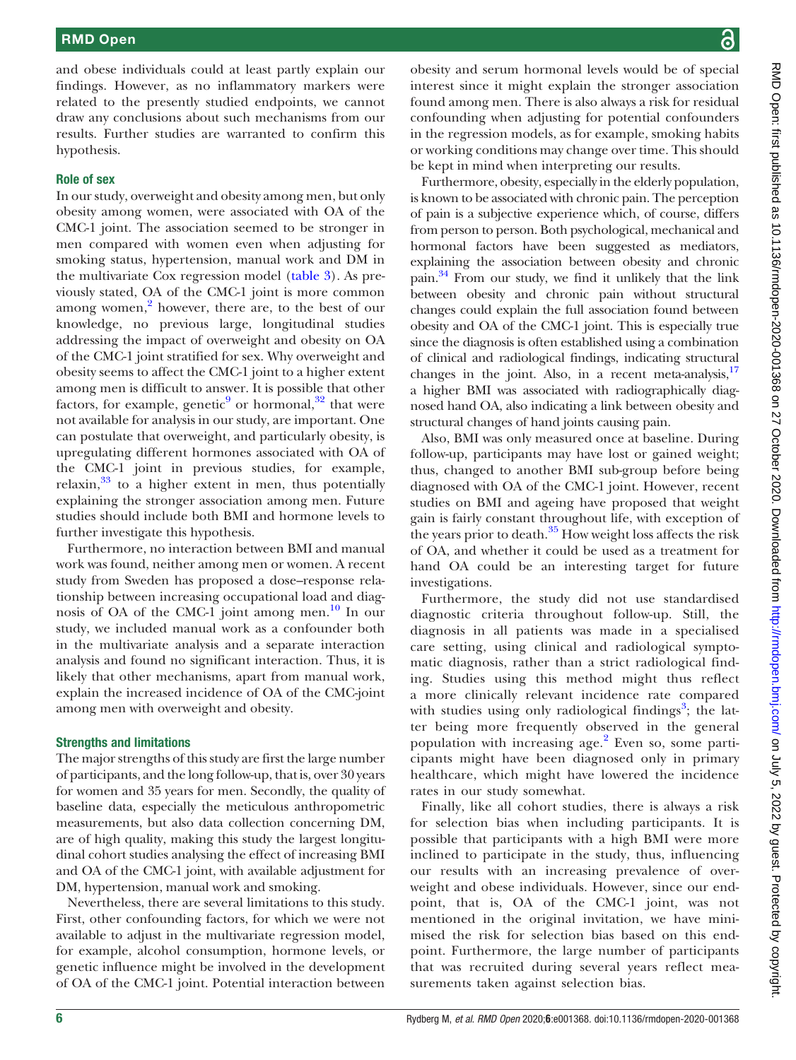and obese individuals could at least partly explain our findings. However, as no inflammatory markers were related to the presently studied endpoints, we cannot draw any conclusions about such mechanisms from our results. Further studies are warranted to confirm this hypothesis.

#### Role of sex

In our study, overweight and obesity among men, but only obesity among women, were associated with OA of the CMC-1 joint. The association seemed to be stronger in men compared with women even when adjusting for smoking status, hypertension, manual work and DM in the multivariate Cox regression model [\(table 3\)](#page-4-0). As previously stated, OA of the CMC-1 joint is more common among women, $\frac{2}{3}$  however, there are, to the best of our knowledge, no previous large, longitudinal studies addressing the impact of overweight and obesity on OA of the CMC-1 joint stratified for sex. Why overweight and obesity seems to affect the CMC-1 joint to a higher extent among men is difficult to answer. It is possible that other factors, for example, genetic<sup>[9](#page-6-8)</sup> or hormonal,<sup>[32](#page-7-4)</sup> that were not available for analysis in our study, are important. One can postulate that overweight, and particularly obesity, is upregulating different hormones associated with OA of the CMC-1 joint in previous studies, for example, relaxin, $33$  to a higher extent in men, thus potentially explaining the stronger association among men. Future studies should include both BMI and hormone levels to further investigate this hypothesis.

Furthermore, no interaction between BMI and manual work was found, neither among men or women. A recent study from Sweden has proposed a dose–response relationship between increasing occupational load and diag-nosis of OA of the CMC-1 joint among men.<sup>[10](#page-6-9)</sup> In our study, we included manual work as a confounder both in the multivariate analysis and a separate interaction analysis and found no significant interaction. Thus, it is likely that other mechanisms, apart from manual work, explain the increased incidence of OA of the CMC-joint among men with overweight and obesity.

#### Strengths and limitations

The major strengths of this study are first the large number of participants, and the long follow-up, that is, over 30 years for women and 35 years for men. Secondly, the quality of baseline data, especially the meticulous anthropometric measurements, but also data collection concerning DM, are of high quality, making this study the largest longitudinal cohort studies analysing the effect of increasing BMI and OA of the CMC-1 joint, with available adjustment for DM, hypertension, manual work and smoking.

Nevertheless, there are several limitations to this study. First, other confounding factors, for which we were not available to adjust in the multivariate regression model, for example, alcohol consumption, hormone levels, or genetic influence might be involved in the development of OA of the CMC-1 joint. Potential interaction between

obesity and serum hormonal levels would be of special interest since it might explain the stronger association found among men. There is also always a risk for residual confounding when adjusting for potential confounders in the regression models, as for example, smoking habits or working conditions may change over time. This should be kept in mind when interpreting our results.

Furthermore, obesity, especially in the elderly population, is known to be associated with chronic pain. The perception of pain is a subjective experience which, of course, differs from person to person. Both psychological, mechanical and hormonal factors have been suggested as mediators, explaining the association between obesity and chronic pain[.34](#page-7-6) From our study, we find it unlikely that the link between obesity and chronic pain without structural changes could explain the full association found between obesity and OA of the CMC-1 joint. This is especially true since the diagnosis is often established using a combination of clinical and radiological findings, indicating structural changes in the joint. Also, in a recent meta-analysis, $17$ a higher BMI was associated with radiographically diagnosed hand OA, also indicating a link between obesity and structural changes of hand joints causing pain.

Also, BMI was only measured once at baseline. During follow-up, participants may have lost or gained weight; thus, changed to another BMI sub-group before being diagnosed with OA of the CMC-1 joint. However, recent studies on BMI and ageing have proposed that weight gain is fairly constant throughout life, with exception of the years prior to death. $35$  How weight loss affects the risk of OA, and whether it could be used as a treatment for hand OA could be an interesting target for future investigations.

Furthermore, the study did not use standardised diagnostic criteria throughout follow-up. Still, the diagnosis in all patients was made in a specialised care setting, using clinical and radiological symptomatic diagnosis, rather than a strict radiological finding. Studies using this method might thus reflect a more clinically relevant incidence rate compared with studies using only radiological findings<sup>[3](#page-6-2)</sup>; the latter being more frequently observed in the general population with increasing age. $2$  Even so, some participants might have been diagnosed only in primary healthcare, which might have lowered the incidence rates in our study somewhat.

Finally, like all cohort studies, there is always a risk for selection bias when including participants. It is possible that participants with a high BMI were more inclined to participate in the study, thus, influencing our results with an increasing prevalence of overweight and obese individuals. However, since our endpoint, that is, OA of the CMC-1 joint, was not mentioned in the original invitation, we have minimised the risk for selection bias based on this endpoint. Furthermore, the large number of participants that was recruited during several years reflect measurements taken against selection bias.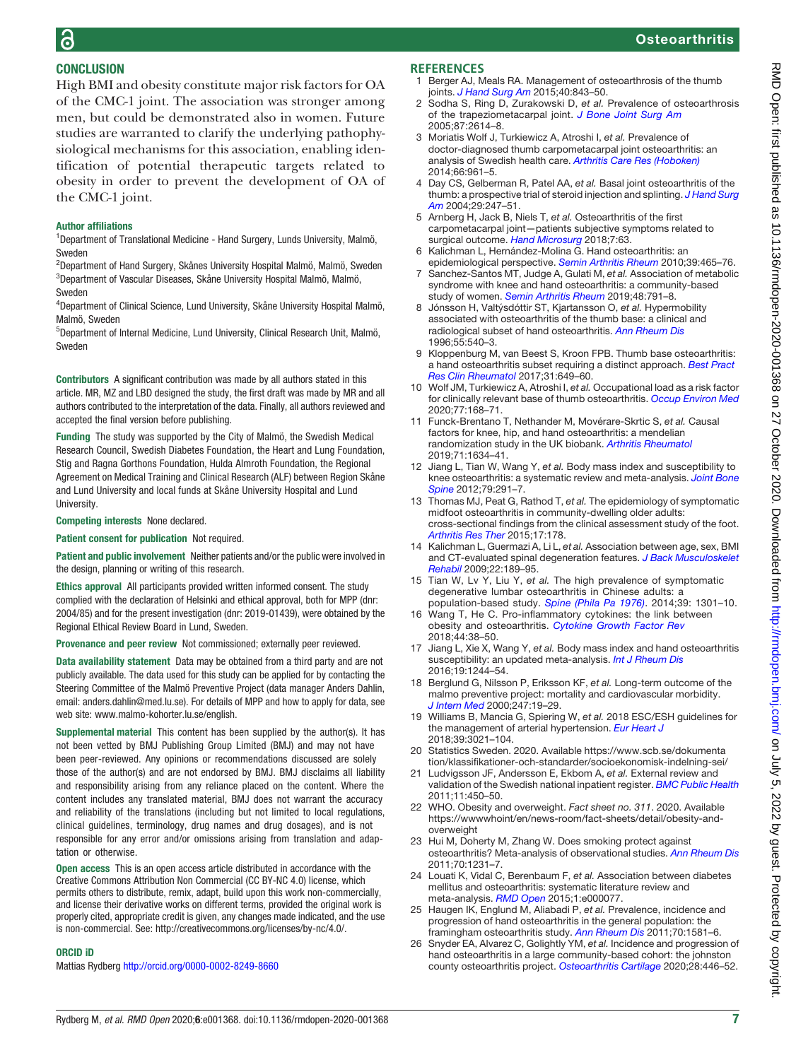# **Osteoarthritis**

## **CONCLUSION**

High BMI and obesity constitute major risk factors for OA of the CMC-1 joint. The association was stronger among men, but could be demonstrated also in women. Future studies are warranted to clarify the underlying pathophysiological mechanisms for this association, enabling identification of potential therapeutic targets related to obesity in order to prevent the development of OA of the CMC-1 joint.

#### Author affiliations

<sup>1</sup>Department of Translational Medicine - Hand Surgery, Lunds University, Malmö, Sweden

2 Department of Hand Surgery, Skånes University Hospital Malmö, Malmö, Sweden 3 Department of Vascular Diseases, Skåne University Hospital Malmö, Malmö, Sweden

4 Department of Clinical Science, Lund University, Skåne University Hospital Malmö, Malmö, Sweden

5 Department of Internal Medicine, Lund University, Clinical Research Unit, Malmö, Sweden

Contributors A significant contribution was made by all authors stated in this article. MR, MZ and LBD designed the study, the first draft was made by MR and all authors contributed to the interpretation of the data. Finally, all authors reviewed and accepted the final version before publishing.

Funding The study was supported by the City of Malmö, the Swedish Medical Research Council, Swedish Diabetes Foundation, the Heart and Lung Foundation, Stig and Ragna Gorthons Foundation, Hulda Almroth Foundation, the Regional Agreement on Medical Training and Clinical Research (ALF) between Region Skåne and Lund University and local funds at Skåne University Hospital and Lund University.

#### Competing interests None declared.

Patient consent for publication Not required.

Patient and public involvement Neither patients and/or the public were involved in the design, planning or writing of this research.

Ethics approval All participants provided written informed consent. The study complied with the declaration of Helsinki and ethical approval, both for MPP (dnr: 2004/85) and for the present investigation (dnr: 2019-01439), were obtained by the Regional Ethical Review Board in Lund, Sweden.

Provenance and peer review Not commissioned; externally peer reviewed.

Data availability statement Data may be obtained from a third party and are not publicly available. The data used for this study can be applied for by contacting the Steering Committee of the Malmö Preventive Project (data manager Anders Dahlin, email: anders.dahlin@med.lu.se). For details of MPP and how to apply for data, see web site: [www.malmo-kohorter.lu.se/english.](www.malmo-kohorter.lu.se/english)

Supplemental material This content has been supplied by the author(s). It has not been vetted by BMJ Publishing Group Limited (BMJ) and may not have been peer-reviewed. Any opinions or recommendations discussed are solely those of the author(s) and are not endorsed by BMJ. BMJ disclaims all liability and responsibility arising from any reliance placed on the content. Where the content includes any translated material, BMJ does not warrant the accuracy and reliability of the translations (including but not limited to local regulations, clinical guidelines, terminology, drug names and drug dosages), and is not responsible for any error and/or omissions arising from translation and adaptation or otherwise.

Open access This is an open access article distributed in accordance with the Creative Commons Attribution Non Commercial (CC BY-NC 4.0) license, which permits others to distribute, remix, adapt, build upon this work non-commercially, and license their derivative works on different terms, provided the original work is properly cited, appropriate credit is given, any changes made indicated, and the use is non-commercial. See: [http://creativecommons.org/licenses/by-nc/4.0/.](http://creativecommons.org/licenses/by-nc/4.0/)

#### ORCID iD

Mattias Rydberg <http://orcid.org/0000-0002-8249-8660>

#### **REFERENCES**

- <span id="page-6-0"></span>1 Berger AJ, Meals RA. Management of osteoarthrosis of the thumb joints. [J Hand Surg Am](https://dx.doi.org/10.1016/j.jhsa.2014.11.026) 2015;40:843-50.
- <span id="page-6-1"></span>2 Sodha S, Ring D, Zurakowski D, et al. Prevalence of osteoarthrosis of the trapeziometacarpal joint. [J Bone Joint Surg Am](https://dx.doi.org/10.2106/jbjs.E.00104) 2005;87:2614–8.
- <span id="page-6-2"></span>3 Moriatis Wolf J, Turkiewicz A, Atroshi I, et al. Prevalence of doctor-diagnosed thumb carpometacarpal joint osteoarthritis: an analysis of Swedish health care. [Arthritis Care Res \(Hoboken\)](https://dx.doi.org/10.1002/acr.22250) 2014;66:961–5.
- <span id="page-6-3"></span>4 Day CS, Gelberman R, Patel AA, et al. Basal joint osteoarthritis of the thumb: a prospective trial of steroid injection and splinting. [J Hand Surg](https://dx.doi.org/10.1016/j.jhsa.2003.12.002) [Am](https://dx.doi.org/10.1016/j.jhsa.2003.12.002) 2004:29:247-51.
- <span id="page-6-4"></span>5 Arnberg H, Jack B, Niels T, et al. Osteoarthritis of the first carpometacarpal joint—patients subjective symptoms related to surgical outcome. [Hand Microsurg](https://dx.doi.org/10.5455/handmicrosurg.299214) 2018;7:63.
- <span id="page-6-5"></span>6 Kalichman L, Hernández-Molina G. Hand osteoarthritis: an epidemiological perspective. [Semin Arthritis Rheum](https://dx.doi.org/10.1016/j.semarthrit.2009.03.001) 2010;39:465–76.
- <span id="page-6-6"></span>7 Sanchez-Santos MT, Judge A, Gulati M, et al. Association of metabolic syndrome with knee and hand osteoarthritis: a community-based study of women. [Semin Arthritis Rheum](https://dx.doi.org/10.1016/j.semarthrit.2018.07.007) 2019;48:791-8.
- <span id="page-6-7"></span>8 Jónsson H, Valtýsdóttir ST, Kjartansson O, et al. Hypermobility associated with osteoarthritis of the thumb base: a clinical and radiological subset of hand osteoarthritis. [Ann Rheum Dis](https://dx.doi.org/10.1136/ard.55.8.540) 1996;55:540–3.
- <span id="page-6-8"></span>9 Kloppenburg M, van Beest S, Kroon FPB. Thumb base osteoarthritis: a hand osteoarthritis subset requiring a distinct approach. [Best Pract](https://dx.doi.org/10.1016/j.berh.2018.08.007) [Res Clin Rheumatol](https://dx.doi.org/10.1016/j.berh.2018.08.007) 2017;31:649–60.
- <span id="page-6-9"></span>10 Wolf JM, Turkiewicz A, Atroshi I, et al. Occupational load as a risk factor for clinically relevant base of thumb osteoarthritis. [Occup Environ Med](https://dx.doi.org/10.1136/oemed-2019-106184) 2020;77:168–71.
- <span id="page-6-10"></span>11 Funck-Brentano T, Nethander M, Movérare-Skrtic S, et al. Causal factors for knee, hip, and hand osteoarthritis: a mendelian randomization study in the UK biobank. [Arthritis Rheumatol](https://dx.doi.org/10.1002/art.40928) 2019;71:1634–41.
- <span id="page-6-11"></span>12 Jiang L, Tian W, Wang Y, et al. Body mass index and susceptibility to knee osteoarthritis: a systematic review and meta-analysis. [Joint Bone](https://dx.doi.org/10.1016/j.jbspin.2011.05.015) S<mark>pine</mark> 2012;79:291–7.
- <span id="page-6-12"></span>13 Thomas MJ, Peat G, Rathod T, et al. The epidemiology of symptomatic midfoot osteoarthritis in community-dwelling older adults: cross-sectional findings from the clinical assessment study of the foot. [Arthritis Res Ther](https://dx.doi.org/10.1186/s13075-015-0693-3) 2015;17:178.
- <span id="page-6-13"></span>14 Kalichman L, Guermazi A, Li L, et al. Association between age, sex, BMI and CT-evaluated spinal degeneration features. [J Back Musculoskelet](https://dx.doi.org/10.3233/bmr-2009-0232) [Rehabil](https://dx.doi.org/10.3233/bmr-2009-0232) 2009;22:189–95.
- 15 Tian W, Lv Y, Liu Y, et al. The high prevalence of symptomatic degenerative lumbar osteoarthritis in Chinese adults: a population-based study. [Spine \(Phila Pa 1976\)](https://dx.doi.org/10.1097/brs.0000000000000396). 2014;39: 1301–10.
- <span id="page-6-14"></span>16 Wang T, He C. Pro-inflammatory cytokines: the link between obesity and osteoarthritis. [Cytokine Growth Factor Rev](https://dx.doi.org/10.1016/j.cytogfr.2018.10.002) 2018;44:38–50.
- <span id="page-6-20"></span>17 Jiang L, Xie X, Wang Y, et al. Body mass index and hand osteoarthritis susceptibility: an updated meta-analysis. [Int J Rheum Dis](https://dx.doi.org/10.1111/1756-185x.12895) 2016;19:1244–54.
- <span id="page-6-15"></span>18 Berglund G, Nilsson P, Eriksson KF, et al. Long-term outcome of the malmo preventive project: mortality and cardiovascular morbidity. [J Intern Med](https://dx.doi.org/10.1046/j.1365-2796.2000.00568.x) 2000;247:19–29.
- <span id="page-6-16"></span>19 Williams B, Mancia G, Spiering W, et al. 2018 ESC/ESH guidelines for the management of arterial hypertension. [Eur Heart J](https://dx.doi.org/10.1093/eurheartj/ehy339) 2018;39:3021–104.
- <span id="page-6-17"></span>20 Statistics Sweden. 2020. Available [https://www.scb.se/dokumenta](https://www.scb.se/dokumentation/klassifikationer-och-standarder/socioekonomisk-indelning-sei/) [tion/klassifikationer-och-standarder/socioekonomisk-indelning-sei/](https://www.scb.se/dokumentation/klassifikationer-och-standarder/socioekonomisk-indelning-sei/)
- <span id="page-6-18"></span>21 Ludvigsson JF, Andersson E, Ekbom A, et al. External review and validation of the Swedish national inpatient register. **[BMC Public Health](https://dx.doi.org/10.1186/1471-2458-11-450)** 2011;11:450–50.
- <span id="page-6-19"></span>22 WHO. Obesity and overweight. Fact sheet no. 311. 2020. Available [https://wwwwhoint/en/news-room/fact-sheets/detail/obesity-and](https://wwwwhoint/en/news-room/fact-sheets/detail/obesity-and-overweight)[overweight](https://wwwwhoint/en/news-room/fact-sheets/detail/obesity-and-overweight)
- 23 Hui M, Doherty M, Zhang W. Does smoking protect against osteoarthritis? Meta-analysis of observational studies. [Ann Rheum Dis](https://dx.doi.org/10.1136/ard.2010.142323) 2011;70:1231–7.
- 24 Louati K, Vidal C, Berenbaum F, et al. Association between diabetes mellitus and osteoarthritis: systematic literature review and meta-analysis. [RMD Open](https://dx.doi.org/10.1136/rmdopen-2015-000077) 2015:1:e000077.
- 25 Haugen IK, Englund M, Aliabadi P, et al. Prevalence, incidence and progression of hand osteoarthritis in the general population: the framingham osteoarthritis study. [Ann Rheum Dis](https://dx.doi.org/10.1136/ard.2011.150078) 2011;70:1581–6.
- 26 Snyder EA, Alvarez C, Golightly YM, et al. Incidence and progression of hand osteoarthritis in a large community-based cohort: the johnston county osteoarthritis project. [Osteoarthritis Cartilage](https://dx.doi.org/10.1016/j.joca.2020.02.028) 2020;28:446-52.